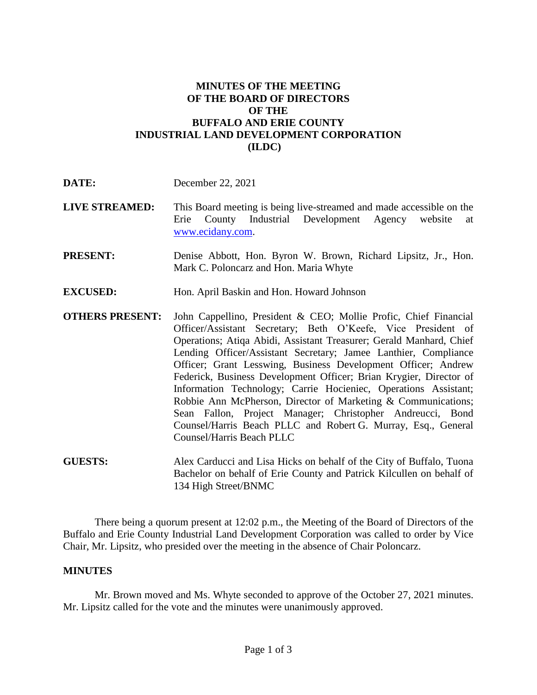## **MINUTES OF THE MEETING OF THE BOARD OF DIRECTORS OF THE BUFFALO AND ERIE COUNTY INDUSTRIAL LAND DEVELOPMENT CORPORATION (ILDC)**

- **LIVE STREAMED:** This Board meeting is being live-streamed and made accessible on the Erie County Industrial Development Agency website at [www.ecidany.com.](http://www.ecidany.com/)
- **PRESENT:** Denise Abbott, Hon. Byron W. Brown, Richard Lipsitz, Jr., Hon. Mark C. Poloncarz and Hon. Maria Whyte
- **EXCUSED:** Hon. April Baskin and Hon. Howard Johnson
- **OTHERS PRESENT:** John Cappellino, President & CEO; Mollie Profic, Chief Financial Officer/Assistant Secretary; Beth O'Keefe, Vice President of Operations; Atiqa Abidi, Assistant Treasurer; Gerald Manhard, Chief Lending Officer/Assistant Secretary; Jamee Lanthier, Compliance Officer; Grant Lesswing, Business Development Officer; Andrew Federick, Business Development Officer; Brian Krygier, Director of Information Technology; Carrie Hocieniec, Operations Assistant; Robbie Ann McPherson, Director of Marketing & Communications; Sean Fallon, Project Manager; Christopher Andreucci, Bond Counsel/Harris Beach PLLC and Robert G. Murray, Esq., General Counsel/Harris Beach PLLC
- **GUESTS:** Alex Carducci and Lisa Hicks on behalf of the City of Buffalo, Tuona Bachelor on behalf of Erie County and Patrick Kilcullen on behalf of 134 High Street/BNMC

There being a quorum present at 12:02 p.m., the Meeting of the Board of Directors of the Buffalo and Erie County Industrial Land Development Corporation was called to order by Vice Chair, Mr. Lipsitz, who presided over the meeting in the absence of Chair Poloncarz.

## **MINUTES**

Mr. Brown moved and Ms. Whyte seconded to approve of the October 27, 2021 minutes. Mr. Lipsitz called for the vote and the minutes were unanimously approved.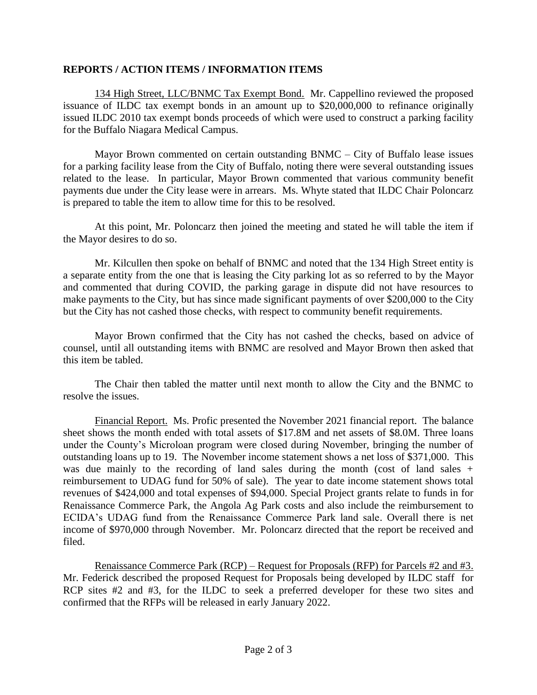## **REPORTS / ACTION ITEMS / INFORMATION ITEMS**

134 High Street, LLC/BNMC Tax Exempt Bond. Mr. Cappellino reviewed the proposed issuance of ILDC tax exempt bonds in an amount up to \$20,000,000 to refinance originally issued ILDC 2010 tax exempt bonds proceeds of which were used to construct a parking facility for the Buffalo Niagara Medical Campus.

Mayor Brown commented on certain outstanding BNMC – City of Buffalo lease issues for a parking facility lease from the City of Buffalo, noting there were several outstanding issues related to the lease. In particular, Mayor Brown commented that various community benefit payments due under the City lease were in arrears. Ms. Whyte stated that ILDC Chair Poloncarz is prepared to table the item to allow time for this to be resolved.

At this point, Mr. Poloncarz then joined the meeting and stated he will table the item if the Mayor desires to do so.

Mr. Kilcullen then spoke on behalf of BNMC and noted that the 134 High Street entity is a separate entity from the one that is leasing the City parking lot as so referred to by the Mayor and commented that during COVID, the parking garage in dispute did not have resources to make payments to the City, but has since made significant payments of over \$200,000 to the City but the City has not cashed those checks, with respect to community benefit requirements.

Mayor Brown confirmed that the City has not cashed the checks, based on advice of counsel, until all outstanding items with BNMC are resolved and Mayor Brown then asked that this item be tabled.

The Chair then tabled the matter until next month to allow the City and the BNMC to resolve the issues.

Financial Report. Ms. Profic presented the November 2021 financial report. The balance sheet shows the month ended with total assets of \$17.8M and net assets of \$8.0M. Three loans under the County's Microloan program were closed during November, bringing the number of outstanding loans up to 19. The November income statement shows a net loss of \$371,000. This was due mainly to the recording of land sales during the month (cost of land sales + reimbursement to UDAG fund for 50% of sale). The year to date income statement shows total revenues of \$424,000 and total expenses of \$94,000. Special Project grants relate to funds in for Renaissance Commerce Park, the Angola Ag Park costs and also include the reimbursement to ECIDA's UDAG fund from the Renaissance Commerce Park land sale. Overall there is net income of \$970,000 through November. Mr. Poloncarz directed that the report be received and filed.

Renaissance Commerce Park (RCP) – Request for Proposals (RFP) for Parcels #2 and #3. Mr. Federick described the proposed Request for Proposals being developed by ILDC staff for RCP sites #2 and #3, for the ILDC to seek a preferred developer for these two sites and confirmed that the RFPs will be released in early January 2022.